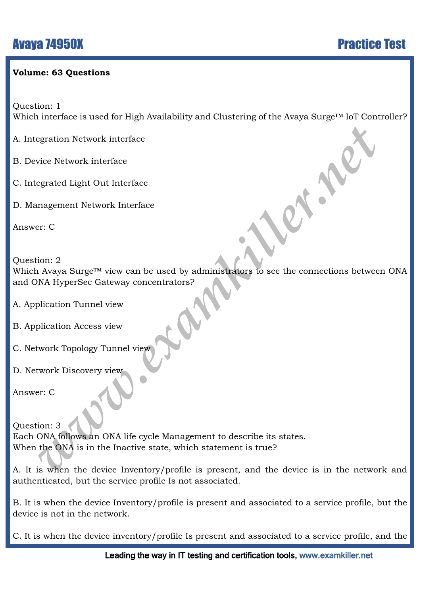#### **Volume: 63 Questions**

Question: 1

Which interface is used for High Availability and Clustering of the Avaya Surge<sup>™</sup> IoT Controller?

A. Integration Network interface

B. Device Network interface

C. Integrated Light Out Interface

D. Management Network Interface

Answer: C

Question: 2

Which Avaya Surge™ view can be used by administrators to see the connections between ONA and ONA HyperSec Gateway concentrators?

- A. Application Tunnel view
- B. Application Access view
- C. Network Topology Tunnel view
- D. Network Discovery view

Answer: C

egration Network interface<br>
vice Network interface<br>
vice Network interface<br>
egrated Light Out Interface<br>
er: C<br>
interface<br>
an Awaya Surge<sup>rM</sup> view can be used by administrators to see the connections between<br>
plication Tun Question: 3 Each ONA follows an ONA life cycle Management to describe its states. When the ONA is in the Inactive state, which statement is true?

A. It is when the device Inventory/profile is present, and the device is in the network and authenticated, but the service profile Is not associated.

B. It is when the device Inventory/profile is present and associated to a service profile, but the device is not in the network.

C. It is when the device inventory/profile Is present and associated to a service profile, and the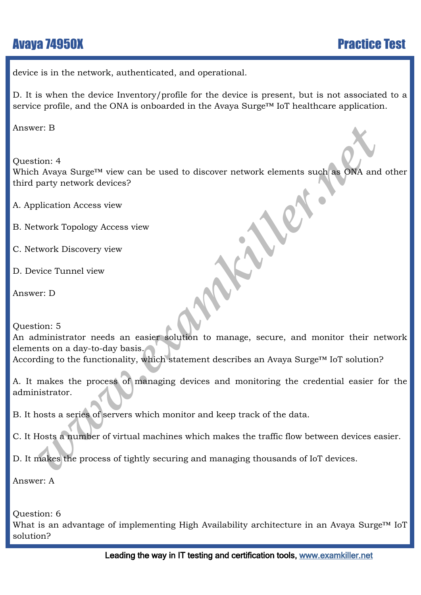device is in the network, authenticated, and operational.

D. It is when the device Inventory/profile for the device is present, but is not associated to a service profile, and the ONA is onboarded in the Avaya Surge™ IoT healthcare application.

Answer: B

Fraction: 4<br> *www.examplering.inft* wiew can be used to discover network elements such as ONA and<br>
party network devices?<br>
where Tunnel view<br>
work Discovery view<br>
with the manage where the process view<br>
with the manage wi Question: 4 Which Avaya Surge™ view can be used to discover network elements such as ONA and other third party network devices?

A. Application Access view

B. Network Topology Access view

C. Network Discovery view

D. Device Tunnel view

Answer: D

Question: 5

An administrator needs an easier solution to manage, secure, and monitor their network elements on a day-to-day basis. According to the functionality, which statement describes an Avaya Surge<sup>™</sup> IoT solution?

A. It makes the process of managing devices and monitoring the credential easier for the administrator.

B. It hosts a series of servers which monitor and keep track of the data.

C. It Hosts a number of virtual machines which makes the traffic flow between devices easier.

D. It makes the process of tightly securing and managing thousands of IoT devices.

Answer: A

Question: 6

What is an advantage of implementing High Availability architecture in an Avaya Surge<sup>™</sup> IoT solution?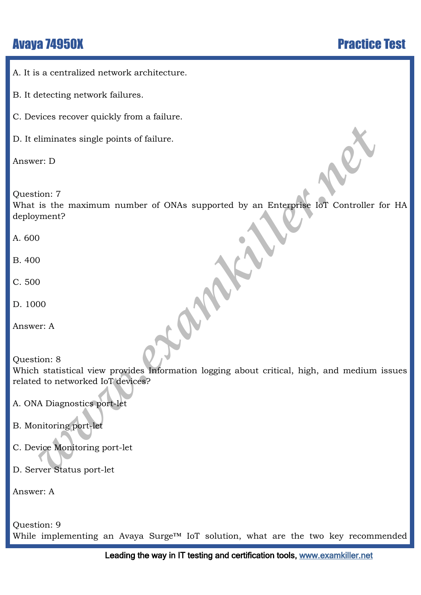A. It is a centralized network architecture.

B. It detecting network failures.

C. Devices recover quickly from a failure.

D. It eliminates single points of failure.

Answer: D

Question: 7

What is the maximum number of ONAs supported by an Enterprise IoT Controller for HA deployment?

A. 600

B. 400

C. 500

D. 1000

Answer: A

```
Example points of failure.<br>
Fr: D<br>
ion: 7<br>
is the maximum number of ONAs supported by an Enterprise IoT Controller for<br>
ment?<br>
(a)<br>
(b)<br>
(b)<br>
(b)<br>
(b)<br>
(c)<br>
(a)<br>
(b)<br>
(a)<br>
(b)<br>
(c)<br>
(a)<br>
(b)<br>
(c)<br>
(d)<br>
(d)<br>
(d)<br>
(d)<br>
(d)<br>

Question: 8 
Which statistical view provides Information logging about critical, high, and medium issues 
related to networked IoT devices?
```
A. ONA Diagnostics port-let

- B. Monitoring port-let
- C. Device Monitoring port-let

D. Server Status port-let

Answer: A

Question: 9 While implementing an Avaya Surge™ IoT solution, what are the two key recommended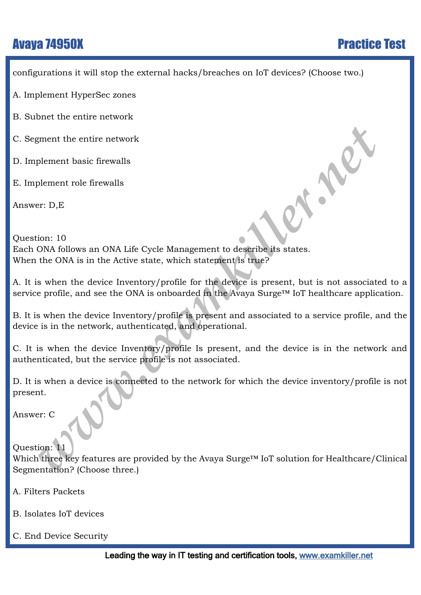configurations it will stop the external hacks/breaches on IoT devices? (Choose two.)

- A. Implement HyperSec zones
- B. Subnet the entire network
- C. Segment the entire network
- D. Implement basic firewalls
- E. Implement role firewalls

Answer: D,E

**Examplement the entire network**<br>
plement toaic firewalls<br>
plement tole firewalls<br>
when the firewalls<br>
when the device inventory/profile for the device is present, but is not associated<br>
profile, and see the ONA is onboard Question: 10 Each ONA follows an ONA Life Cycle Management to describe its states. When the ONA is in the Active state, which statement is true?

A. It is when the device Inventory/profile for the device is present, but is not associated to a service profile, and see the ONA is onboarded in the Avaya Surge™ IoT healthcare application.

B. It is when the device Inventory/profile is present and associated to a service profile, and the device is in the network, authenticated, and operational.

C. It is when the device Inventory/profile Is present, and the device is in the network and authenticated, but the service profile is not associated.

D. It is when a device is connected to the network for which the device inventory/profile is not present.

Answer: C

Question: 11

Which three key features are provided by the Avaya Surge™ IoT solution for Healthcare/Clinical Segmentation? (Choose three.)

- A. Filters Packets
- B. Isolates IoT devices
- C. End Device Security